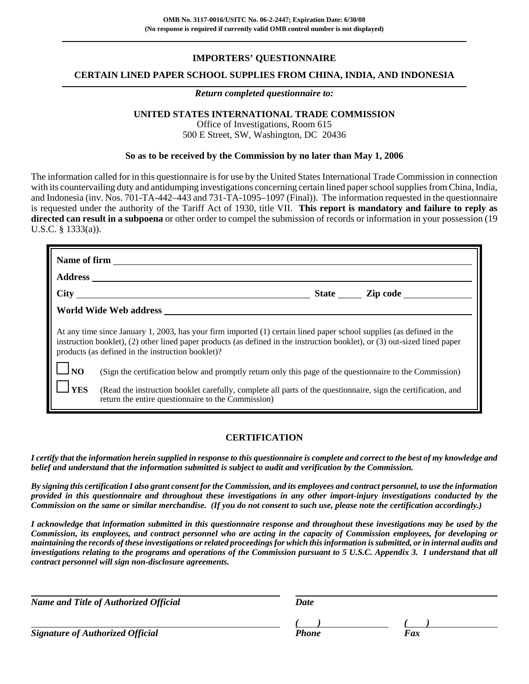# **IMPORTERS' QUESTIONNAIRE**

## **CERTAIN LINED PAPER SCHOOL SUPPLIES FROM CHINA, INDIA, AND INDONESIA**

#### *Return completed questionnaire to:*

# **UNITED STATES INTERNATIONAL TRADE COMMISSION**

Office of Investigations, Room 615 500 E Street, SW, Washington, DC 20436

## **So as to be received by the Commission by no later than May 1, 2006**

The information called for in this questionnaire is for use by the United States International Trade Commission in connection with its countervailing duty and antidumping investigations concerning certain lined paper school supplies from China, India, and Indonesia (inv. Nos. 701-TA-442–443 and 731-TA-1095–1097 (Final)). The information requested in the questionnaire is requested under the authority of the Tariff Act of 1930, title VII. **This report is mandatory and failure to reply as directed can result in a subpoena** or other order to compel the submission of records or information in your possession (19 U.S.C. § 1333(a)).

|            | Name of firm                                                                                                                                                                                                                                                                                            |
|------------|---------------------------------------------------------------------------------------------------------------------------------------------------------------------------------------------------------------------------------------------------------------------------------------------------------|
|            | <b>Address</b>                                                                                                                                                                                                                                                                                          |
|            | $\frac{City}{1}$<br>State <u>Zip code</u>                                                                                                                                                                                                                                                               |
|            | World Wide Web address                                                                                                                                                                                                                                                                                  |
|            | At any time since January 1, 2003, has your firm imported (1) certain lined paper school supplies (as defined in the<br>instruction booklet), (2) other lined paper products (as defined in the instruction booklet), or (3) out-sized lined paper<br>products (as defined in the instruction booklet)? |
| $\log$     | (Sign the certification below and promptly return only this page of the questionnaire to the Commission)                                                                                                                                                                                                |
| <b>YES</b> | (Read the instruction booklet carefully, complete all parts of the questionnaire, sign the certification, and<br>return the entire questionnaire to the Commission)                                                                                                                                     |

# **CERTIFICATION**

*I certify that the information herein supplied in response to this questionnaire is complete and correct to the best of my knowledge and belief and understand that the information submitted is subject to audit and verification by the Commission.*

*By signing this certification I also grant consent for the Commission, and its employees and contract personnel, to use the information provided in this questionnaire and throughout these investigations in any other import-injury investigations conducted by the Commission on the same or similar merchandise. (If you do not consent to such use, please note the certification accordingly.)*

*I acknowledge that information submitted in this questionnaire response and throughout these investigations may be used by the Commission, its employees, and contract personnel who are acting in the capacity of Commission employees, for developing or maintaining the records of these investigations or related proceedings for which this information is submitted, or in internal audits and investigations relating to the programs and operations of the Commission pursuant to 5 U.S.C. Appendix 3. I understand that all contract personnel will sign non-disclosure agreements.*

| <b>Name and Title of Authorized Official</b> | Date  |     |
|----------------------------------------------|-------|-----|
|                                              |       |     |
| <b>Signature of Authorized Official</b>      | Phone | Fax |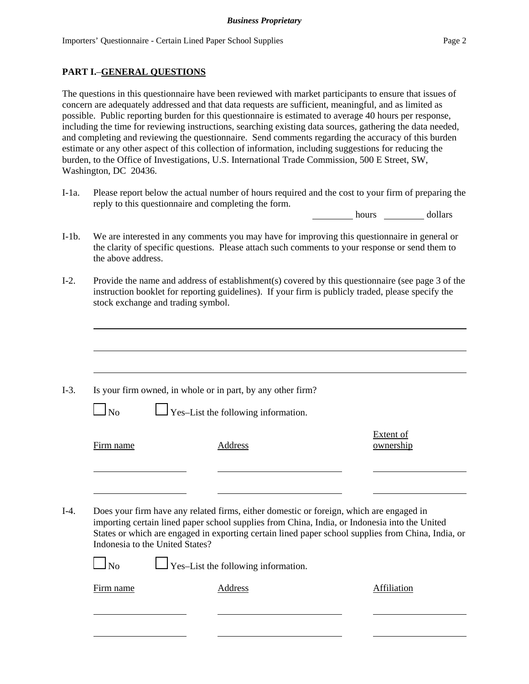# **PART I.**–**GENERAL QUESTIONS**

The questions in this questionnaire have been reviewed with market participants to ensure that issues of concern are adequately addressed and that data requests are sufficient, meaningful, and as limited as possible. Public reporting burden for this questionnaire is estimated to average 40 hours per response, including the time for reviewing instructions, searching existing data sources, gathering the data needed, and completing and reviewing the questionnaire. Send comments regarding the accuracy of this burden estimate or any other aspect of this collection of information, including suggestions for reducing the burden, to the Office of Investigations, U.S. International Trade Commission, 500 E Street, SW, Washington, DC 20436.

I-1a. Please report below the actual number of hours required and the cost to your firm of preparing the reply to this questionnaire and completing the form.

hours dollars

- I-1b. We are interested in any comments you may have for improving this questionnaire in general or the clarity of specific questions. Please attach such comments to your response or send them to the above address.
- I-2. Provide the name and address of establishment(s) covered by this questionnaire (see page 3 of the instruction booklet for reporting guidelines). If your firm is publicly traded, please specify the stock exchange and trading symbol.

|                                 | Is your firm owned, in whole or in part, by any other firm?                                                                                                                                                                                                                                    |                               |
|---------------------------------|------------------------------------------------------------------------------------------------------------------------------------------------------------------------------------------------------------------------------------------------------------------------------------------------|-------------------------------|
| N <sub>0</sub>                  | $\perp$ Yes-List the following information.                                                                                                                                                                                                                                                    |                               |
| Firm name                       | Address                                                                                                                                                                                                                                                                                        | <b>Extent of</b><br>ownership |
|                                 |                                                                                                                                                                                                                                                                                                |                               |
| Indonesia to the United States? | Does your firm have any related firms, either domestic or foreign, which are engaged in<br>importing certain lined paper school supplies from China, India, or Indonesia into the United<br>States or which are engaged in exporting certain lined paper school supplies from China, India, or |                               |
| $\Box$ No                       | $\Box$ Yes-List the following information.                                                                                                                                                                                                                                                     |                               |
|                                 |                                                                                                                                                                                                                                                                                                |                               |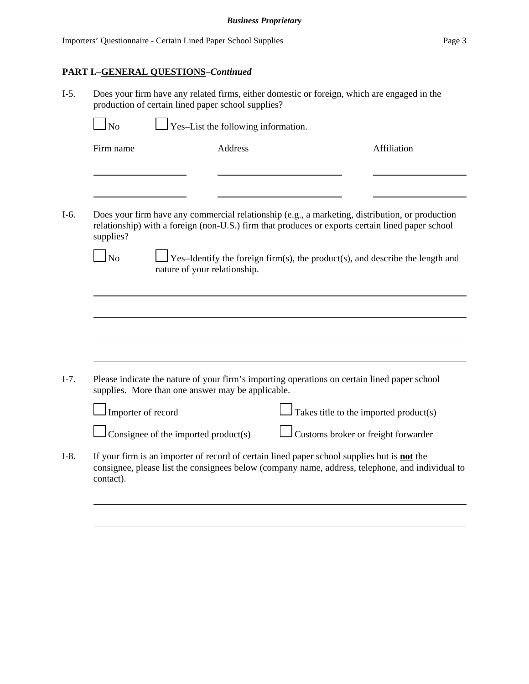# **PART I.**–**GENERAL QUESTIONS**–*Continued*

I-5. Does your firm have any related firms, either domestic or foreign, which are engaged in the production of certain lined paper school supplies?

 $\perp$  Yes–List the following information.

Firm name Address Address Affiliation

I-6. Does your firm have any commercial relationship (e.g., a marketing, distribution, or production relationship) with a foreign (non-U.S.) firm that produces or exports certain lined paper school supplies?

 $\Box$  No  $\Box$  Yes–Identify the foreign firm(s), the product(s), and describe the length and nature of your relationship.

I-7. Please indicate the nature of your firm's importing operations on certain lined paper school supplies. More than one answer may be applicable.



 $\Box$  Consignee of the imported product(s)  $\Box$  Customs broker or freight forwarder

I-8. If your firm is an importer of record of certain lined paper school supplies but is **not** the consignee, please list the consignees below (company name, address, telephone, and individual to contact).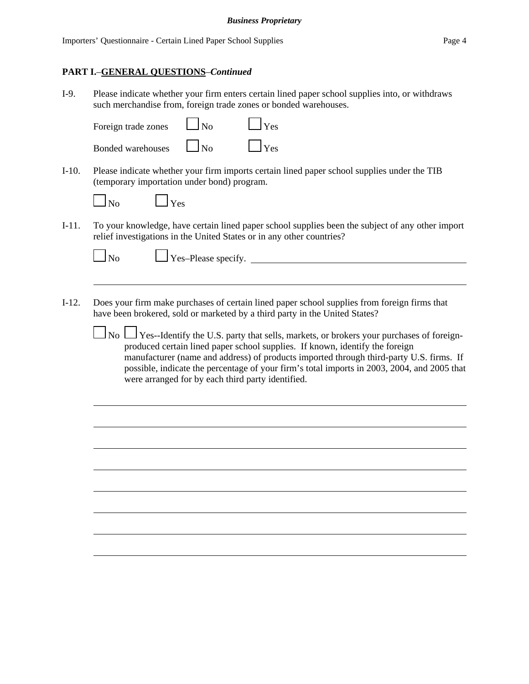## **PART I.**–**GENERAL QUESTIONS**–*Continued*

I-9. Please indicate whether your firm enters certain lined paper school supplies into, or withdraws such merchandise from, foreign trade zones or bonded warehouses.

| Foreign trade zones      | $\Box$ No  | $\Box$ Yes |
|--------------------------|------------|------------|
| <b>Bonded warehouses</b> | $\vert$ No | $\Box$ Yes |

 $\mathbf{\perp}$  Yes

I-10. Please indicate whether your firm imports certain lined paper school supplies under the TIB (temporary importation under bond) program.

| ۰, |
|----|
|----|

I-11. To your knowledge, have certain lined paper school supplies been the subject of any other import relief investigations in the United States or in any other countries?

 $N<sub>0</sub>$   $N<sub>0</sub>$   $N<sub>0</sub>$   $N<sub>0</sub>$   $N<sub>0</sub>$   $N<sub>0</sub>$ 

- I-12. Does your firm make purchases of certain lined paper school supplies from foreign firms that have been brokered, sold or marketed by a third party in the United States?
	- $\Box$  No  $\Box$  Yes--Identify the U.S. party that sells, markets, or brokers your purchases of foreignproduced certain lined paper school supplies. If known, identify the foreign manufacturer (name and address) of products imported through third-party U.S. firms. If possible, indicate the percentage of your firm's total imports in 2003, 2004, and 2005 that were arranged for by each third party identified.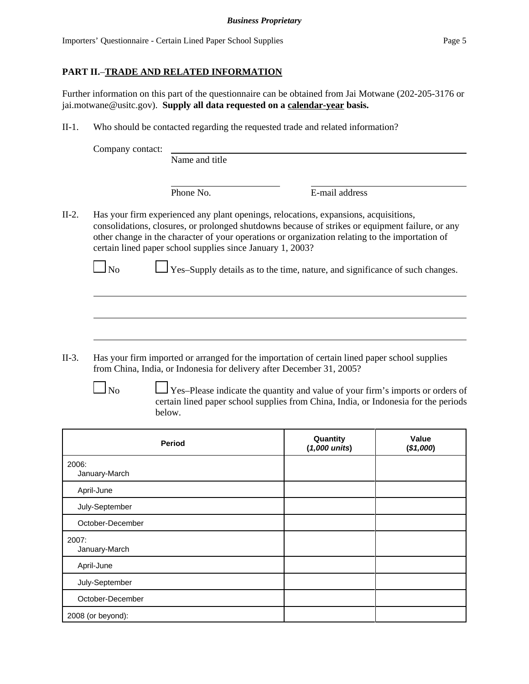# **PART II.**–**TRADE AND RELATED INFORMATION**

Further information on this part of the questionnaire can be obtained from Jai Motwane (202-205-3176 or jai.motwane@usitc.gov). **Supply all data requested on a calendar-year basis.**

II-1. Who should be contacted regarding the requested trade and related information?

| Company contact: |  |
|------------------|--|
|------------------|--|

Name and title

Phone No. **E-mail address** 

II-2. Has your firm experienced any plant openings, relocations, expansions, acquisitions, consolidations, closures, or prolonged shutdowns because of strikes or equipment failure, or any other change in the character of your operations or organization relating to the importation of certain lined paper school supplies since January 1, 2003?

 $\Box$  No  $\Box$  Yes–Supply details as to the time, nature, and significance of such changes.

- II-3. Has your firm imported or arranged for the importation of certain lined paper school supplies from China, India, or Indonesia for delivery after December 31, 2005?
	-

 $\Box$  Yes–Please indicate the quantity and value of your firm's imports or orders of certain lined paper school supplies from China, India, or Indonesia for the periods below.

| Period                 | Quantity<br>$(1,000 \text{ units})$ | Value<br>(\$1,000) |
|------------------------|-------------------------------------|--------------------|
| 2006:<br>January-March |                                     |                    |
| April-June             |                                     |                    |
| July-September         |                                     |                    |
| October-December       |                                     |                    |
| 2007:<br>January-March |                                     |                    |
| April-June             |                                     |                    |
| July-September         |                                     |                    |
| October-December       |                                     |                    |
| 2008 (or beyond):      |                                     |                    |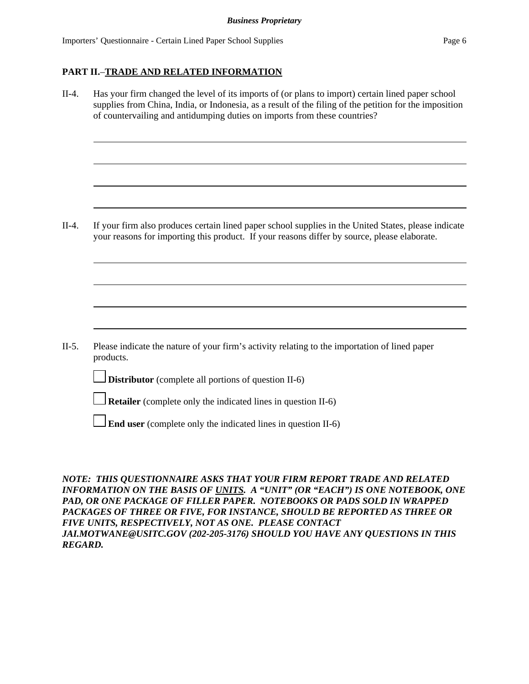## **PART II.**–**TRADE AND RELATED INFORMATION**

| $II-4.$ | Has your firm changed the level of its imports of (or plans to import) certain lined paper school<br>supplies from China, India, or Indonesia, as a result of the filing of the petition for the imposition<br>of countervailing and antidumping duties on imports from these countries? |  |  |  |
|---------|------------------------------------------------------------------------------------------------------------------------------------------------------------------------------------------------------------------------------------------------------------------------------------------|--|--|--|
|         |                                                                                                                                                                                                                                                                                          |  |  |  |
| $II-4.$ | If your firm also produces certain lined paper school supplies in the United States, please indicate<br>your reasons for importing this product. If your reasons differ by source, please elaborate.                                                                                     |  |  |  |
|         |                                                                                                                                                                                                                                                                                          |  |  |  |
| $II-5.$ | Please indicate the nature of your firm's activity relating to the importation of lined paper<br>products.                                                                                                                                                                               |  |  |  |
|         | <b>Distributor</b> (complete all portions of question II-6)                                                                                                                                                                                                                              |  |  |  |
|         | <b>Retailer</b> (complete only the indicated lines in question II-6)                                                                                                                                                                                                                     |  |  |  |
|         | <b>End user</b> (complete only the indicated lines in question II-6)                                                                                                                                                                                                                     |  |  |  |

*NOTE: THIS QUESTIONNAIRE ASKS THAT YOUR FIRM REPORT TRADE AND RELATED INFORMATION ON THE BASIS OF UNITS. A "UNIT" (OR "EACH") IS ONE NOTEBOOK, ONE PAD, OR ONE PACKAGE OF FILLER PAPER. NOTEBOOKS OR PADS SOLD IN WRAPPED PACKAGES OF THREE OR FIVE, FOR INSTANCE, SHOULD BE REPORTED AS THREE OR FIVE UNITS, RESPECTIVELY, NOT AS ONE. PLEASE CONTACT JAI.MOTWANE@USITC.GOV (202-205-3176) SHOULD YOU HAVE ANY QUESTIONS IN THIS REGARD.*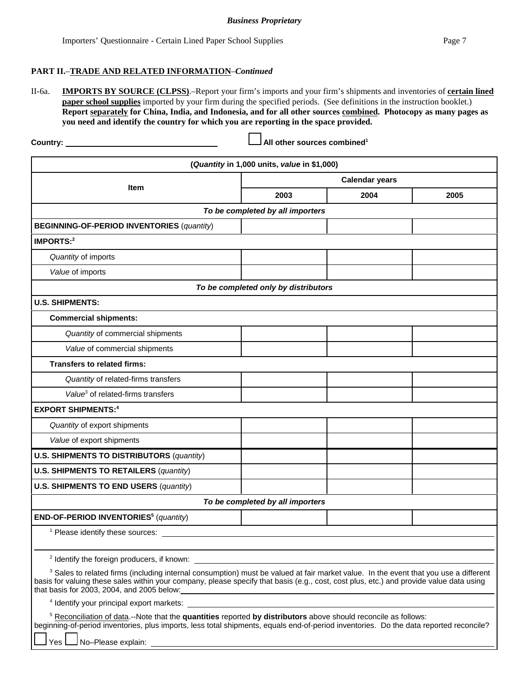#### **PART II.**–**TRADE AND RELATED INFORMATION**–*Continued*

II-6a. **IMPORTS BY SOURCE (CLPSS)**.–Report your firm's imports and your firm's shipments and inventories of **certain lined paper school supplies** imported by your firm during the specified periods. (See definitions in the instruction booklet.) **Report separately for China, India, and Indonesia, and for all other sources combined. Photocopy as many pages as you need and identify the country for which you are reporting in the space provided.**

**Country: All other sources combined1**

|                                                                                                                                                                                                                                                                                                                                          | (Quantity in 1,000 units, value in \$1,000) |      |      |
|------------------------------------------------------------------------------------------------------------------------------------------------------------------------------------------------------------------------------------------------------------------------------------------------------------------------------------------|---------------------------------------------|------|------|
|                                                                                                                                                                                                                                                                                                                                          | <b>Calendar years</b>                       |      |      |
| Item                                                                                                                                                                                                                                                                                                                                     | 2003                                        | 2004 | 2005 |
|                                                                                                                                                                                                                                                                                                                                          | To be completed by all importers            |      |      |
| <b>BEGINNING-OF-PERIOD INVENTORIES (quantity)</b>                                                                                                                                                                                                                                                                                        |                                             |      |      |
| IMPORTS:2                                                                                                                                                                                                                                                                                                                                |                                             |      |      |
| Quantity of imports                                                                                                                                                                                                                                                                                                                      |                                             |      |      |
| Value of imports                                                                                                                                                                                                                                                                                                                         |                                             |      |      |
|                                                                                                                                                                                                                                                                                                                                          | To be completed only by distributors        |      |      |
| <b>U.S. SHIPMENTS:</b>                                                                                                                                                                                                                                                                                                                   |                                             |      |      |
| <b>Commercial shipments:</b>                                                                                                                                                                                                                                                                                                             |                                             |      |      |
| Quantity of commercial shipments                                                                                                                                                                                                                                                                                                         |                                             |      |      |
| Value of commercial shipments                                                                                                                                                                                                                                                                                                            |                                             |      |      |
| <b>Transfers to related firms:</b>                                                                                                                                                                                                                                                                                                       |                                             |      |      |
| Quantity of related-firms transfers                                                                                                                                                                                                                                                                                                      |                                             |      |      |
| Value <sup>3</sup> of related-firms transfers                                                                                                                                                                                                                                                                                            |                                             |      |      |
| <b>EXPORT SHIPMENTS:4</b>                                                                                                                                                                                                                                                                                                                |                                             |      |      |
| Quantity of export shipments                                                                                                                                                                                                                                                                                                             |                                             |      |      |
| Value of export shipments                                                                                                                                                                                                                                                                                                                |                                             |      |      |
| <b>U.S. SHIPMENTS TO DISTRIBUTORS (quantity)</b>                                                                                                                                                                                                                                                                                         |                                             |      |      |
| <b>U.S. SHIPMENTS TO RETAILERS (quantity)</b>                                                                                                                                                                                                                                                                                            |                                             |      |      |
| <b>U.S. SHIPMENTS TO END USERS (quantity)</b>                                                                                                                                                                                                                                                                                            |                                             |      |      |
|                                                                                                                                                                                                                                                                                                                                          | To be completed by all importers            |      |      |
| END-OF-PERIOD INVENTORIES <sup>5</sup> (quantity)                                                                                                                                                                                                                                                                                        |                                             |      |      |
| <sup>1</sup> Please identify these sources:                                                                                                                                                                                                                                                                                              |                                             |      |      |
|                                                                                                                                                                                                                                                                                                                                          |                                             |      |      |
| <sup>2</sup> Identify the foreign producers, if known:                                                                                                                                                                                                                                                                                   |                                             |      |      |
| <sup>3</sup> Sales to related firms (including internal consumption) must be valued at fair market value. In the event that you use a different<br>basis for valuing these sales within your company, please specify that basis (e.g., cost, cost plus, etc.) and provide value data using<br>that basis for 2003, 2004, and 2005 below: |                                             |      |      |
| <sup>4</sup> Identify your principal export markets:                                                                                                                                                                                                                                                                                     |                                             |      |      |
| $5$ Reconciliation of data.--Note that the quantities reported by distributors above should reconcile as follows:<br>beginning-of-period inventories, plus imports, less total shipments, equals end-of-period inventories. Do the data reported reconcile?<br>No-Please explain:                                                        |                                             |      |      |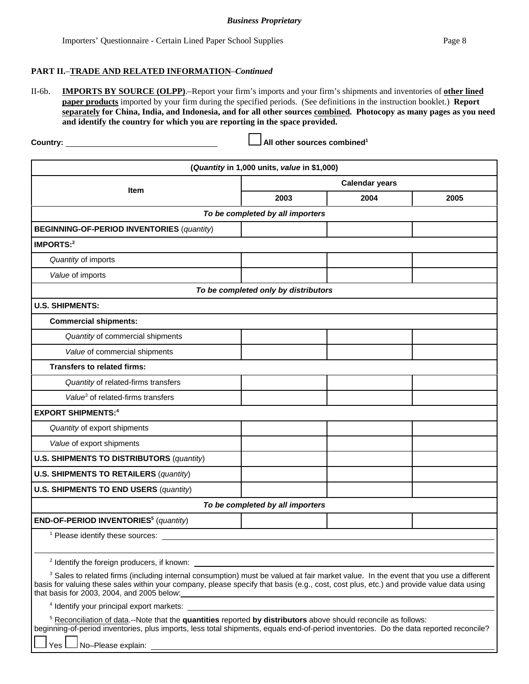#### **PART II.**–**TRADE AND RELATED INFORMATION**–*Continued*

II-6b. **IMPORTS BY SOURCE (OLPP)**.–Report your firm's imports and your firm's shipments and inventories of **other lined paper products** imported by your firm during the specified periods. (See definitions in the instruction booklet.) **Report separately for China, India, and Indonesia, and for all other sources combined. Photocopy as many pages as you need and identify the country for which you are reporting in the space provided.**

Country: Country: Country: Country: Country: Country: Country: Country: Country: Country: Country: Country: Country: Country: Country: Country: Country: Country: Country: Country: Country: Country: Country: Country: Countr

|                                                                                                                                                                                                                                                                                                                                          | (Quantity in 1,000 units, value in \$1,000) |                                                                                                                        |      |  |
|------------------------------------------------------------------------------------------------------------------------------------------------------------------------------------------------------------------------------------------------------------------------------------------------------------------------------------------|---------------------------------------------|------------------------------------------------------------------------------------------------------------------------|------|--|
| <b>Calendar years</b>                                                                                                                                                                                                                                                                                                                    |                                             |                                                                                                                        |      |  |
| Item                                                                                                                                                                                                                                                                                                                                     | 2003                                        | 2004                                                                                                                   | 2005 |  |
|                                                                                                                                                                                                                                                                                                                                          | To be completed by all importers            |                                                                                                                        |      |  |
| <b>BEGINNING-OF-PERIOD INVENTORIES (quantity)</b>                                                                                                                                                                                                                                                                                        |                                             |                                                                                                                        |      |  |
| IMPORTS:2                                                                                                                                                                                                                                                                                                                                |                                             |                                                                                                                        |      |  |
| Quantity of imports                                                                                                                                                                                                                                                                                                                      |                                             |                                                                                                                        |      |  |
| Value of imports                                                                                                                                                                                                                                                                                                                         |                                             |                                                                                                                        |      |  |
|                                                                                                                                                                                                                                                                                                                                          | To be completed only by distributors        |                                                                                                                        |      |  |
| <b>U.S. SHIPMENTS:</b>                                                                                                                                                                                                                                                                                                                   |                                             |                                                                                                                        |      |  |
| <b>Commercial shipments:</b>                                                                                                                                                                                                                                                                                                             |                                             |                                                                                                                        |      |  |
| Quantity of commercial shipments                                                                                                                                                                                                                                                                                                         |                                             |                                                                                                                        |      |  |
| Value of commercial shipments                                                                                                                                                                                                                                                                                                            |                                             |                                                                                                                        |      |  |
| <b>Transfers to related firms:</b>                                                                                                                                                                                                                                                                                                       |                                             |                                                                                                                        |      |  |
| Quantity of related-firms transfers                                                                                                                                                                                                                                                                                                      |                                             |                                                                                                                        |      |  |
| Value <sup>3</sup> of related-firms transfers                                                                                                                                                                                                                                                                                            |                                             |                                                                                                                        |      |  |
| <b>EXPORT SHIPMENTS:4</b>                                                                                                                                                                                                                                                                                                                |                                             |                                                                                                                        |      |  |
| Quantity of export shipments                                                                                                                                                                                                                                                                                                             |                                             |                                                                                                                        |      |  |
| Value of export shipments                                                                                                                                                                                                                                                                                                                |                                             |                                                                                                                        |      |  |
| <b>U.S. SHIPMENTS TO DISTRIBUTORS (quantity)</b>                                                                                                                                                                                                                                                                                         |                                             |                                                                                                                        |      |  |
| <b>U.S. SHIPMENTS TO RETAILERS (quantity)</b>                                                                                                                                                                                                                                                                                            |                                             |                                                                                                                        |      |  |
| <b>U.S. SHIPMENTS TO END USERS (quantity)</b>                                                                                                                                                                                                                                                                                            |                                             |                                                                                                                        |      |  |
|                                                                                                                                                                                                                                                                                                                                          | To be completed by all importers            |                                                                                                                        |      |  |
| END-OF-PERIOD INVENTORIES <sup>5</sup> (quantity)                                                                                                                                                                                                                                                                                        |                                             |                                                                                                                        |      |  |
| <sup>1</sup> Please identify these sources: _                                                                                                                                                                                                                                                                                            |                                             |                                                                                                                        |      |  |
|                                                                                                                                                                                                                                                                                                                                          |                                             |                                                                                                                        |      |  |
| <sup>2</sup> Identify the foreign producers, if known:                                                                                                                                                                                                                                                                                   |                                             |                                                                                                                        |      |  |
| <sup>3</sup> Sales to related firms (including internal consumption) must be valued at fair market value. In the event that you use a different<br>basis for valuing these sales within your company, please specify that basis (e.g., cost, cost plus, etc.) and provide value data using<br>that basis for 2003, 2004, and 2005 below: |                                             | <u> 1989 - Johann Stoff, deutscher Stoffen und der Stoffen und der Stoffen und der Stoffen und der Stoffen und der</u> |      |  |
| <sup>4</sup> Identify your principal export markets:                                                                                                                                                                                                                                                                                     |                                             |                                                                                                                        |      |  |
| <sup>5</sup> Reconciliation of data.--Note that the quantities reported by distributors above should reconcile as follows:<br>beginning-of-period inventories, plus imports, less total shipments, equals end-of-period inventories. Do the data reported reconcile?<br>No-Please explain:<br>Yes                                        |                                             |                                                                                                                        |      |  |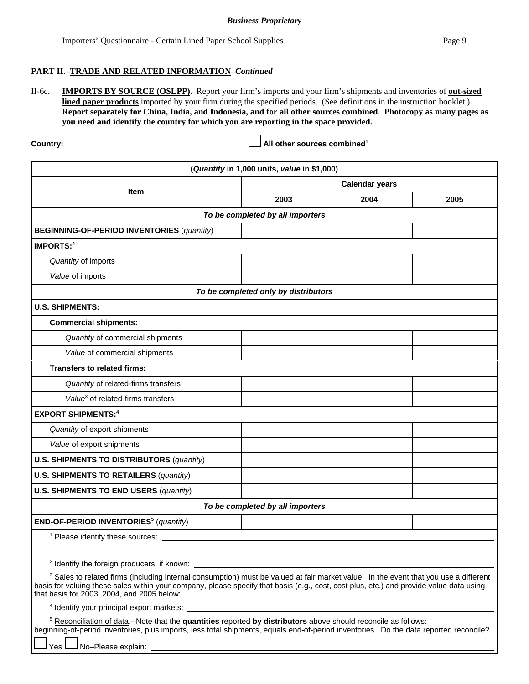#### **PART II.**–**TRADE AND RELATED INFORMATION**–*Continued*

II-6c. **IMPORTS BY SOURCE (OSLPP)**.–Report your firm's imports and your firm's shipments and inventories of **out-sized lined paper products** imported by your firm during the specified periods. (See definitions in the instruction booklet.) **Report separately for China, India, and Indonesia, and for all other sources combined. Photocopy as many pages as you need and identify the country for which you are reporting in the space provided.**

**Country: All other sources combined1**

| (Quantity in 1,000 units, value in \$1,000)                                                                                                                                                                                                                                                                                                      |                                      |      |      |  |  |
|--------------------------------------------------------------------------------------------------------------------------------------------------------------------------------------------------------------------------------------------------------------------------------------------------------------------------------------------------|--------------------------------------|------|------|--|--|
| <b>Calendar years</b>                                                                                                                                                                                                                                                                                                                            |                                      |      |      |  |  |
| Item                                                                                                                                                                                                                                                                                                                                             | 2003                                 | 2004 | 2005 |  |  |
| To be completed by all importers                                                                                                                                                                                                                                                                                                                 |                                      |      |      |  |  |
| <b>BEGINNING-OF-PERIOD INVENTORIES (quantity)</b>                                                                                                                                                                                                                                                                                                |                                      |      |      |  |  |
| IMPORTS:2                                                                                                                                                                                                                                                                                                                                        |                                      |      |      |  |  |
| Quantity of imports                                                                                                                                                                                                                                                                                                                              |                                      |      |      |  |  |
| Value of imports                                                                                                                                                                                                                                                                                                                                 |                                      |      |      |  |  |
|                                                                                                                                                                                                                                                                                                                                                  | To be completed only by distributors |      |      |  |  |
| <b>U.S. SHIPMENTS:</b>                                                                                                                                                                                                                                                                                                                           |                                      |      |      |  |  |
| <b>Commercial shipments:</b>                                                                                                                                                                                                                                                                                                                     |                                      |      |      |  |  |
| Quantity of commercial shipments                                                                                                                                                                                                                                                                                                                 |                                      |      |      |  |  |
| Value of commercial shipments                                                                                                                                                                                                                                                                                                                    |                                      |      |      |  |  |
| <b>Transfers to related firms:</b>                                                                                                                                                                                                                                                                                                               |                                      |      |      |  |  |
| Quantity of related-firms transfers                                                                                                                                                                                                                                                                                                              |                                      |      |      |  |  |
| Value <sup>3</sup> of related-firms transfers                                                                                                                                                                                                                                                                                                    |                                      |      |      |  |  |
| <b>EXPORT SHIPMENTS:4</b>                                                                                                                                                                                                                                                                                                                        |                                      |      |      |  |  |
| Quantity of export shipments                                                                                                                                                                                                                                                                                                                     |                                      |      |      |  |  |
| Value of export shipments                                                                                                                                                                                                                                                                                                                        |                                      |      |      |  |  |
| <b>U.S. SHIPMENTS TO DISTRIBUTORS (quantity)</b>                                                                                                                                                                                                                                                                                                 |                                      |      |      |  |  |
| <b>U.S. SHIPMENTS TO RETAILERS (quantity)</b>                                                                                                                                                                                                                                                                                                    |                                      |      |      |  |  |
| <b>U.S. SHIPMENTS TO END USERS (quantity)</b>                                                                                                                                                                                                                                                                                                    |                                      |      |      |  |  |
|                                                                                                                                                                                                                                                                                                                                                  | To be completed by all importers     |      |      |  |  |
| END-OF-PERIOD INVENTORIES <sup>5</sup> (quantity)                                                                                                                                                                                                                                                                                                |                                      |      |      |  |  |
| <sup>1</sup> Please identify these sources:                                                                                                                                                                                                                                                                                                      |                                      |      |      |  |  |
|                                                                                                                                                                                                                                                                                                                                                  |                                      |      |      |  |  |
| <sup>2</sup> Identify the foreign producers, if known:                                                                                                                                                                                                                                                                                           |                                      |      |      |  |  |
| <sup>3</sup> Sales to related firms (including internal consumption) must be valued at fair market value. In the event that you use a different<br>basis for valuing these sales within your company, please specify that basis (e.g., cost, cost plus, etc.) and provide value data using<br>that basis for $2003$ , $2004$ , and $2005$ below: |                                      |      |      |  |  |
|                                                                                                                                                                                                                                                                                                                                                  |                                      |      |      |  |  |
| <sup>5</sup> Reconciliation of data.--Note that the quantities reported by distributors above should reconcile as follows:<br>beginning-of-period inventories, plus imports, less total shipments, equals end-of-period inventories. Do the data reported reconcile?<br>Yes                                                                      |                                      |      |      |  |  |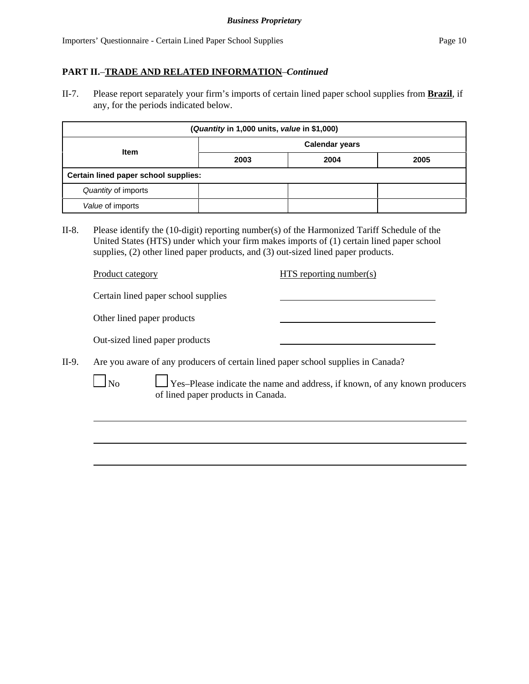# **PART II.**–**TRADE AND RELATED INFORMATION**–*Continued*

II-7. Please report separately your firm's imports of certain lined paper school supplies from **Brazil**, if any, for the periods indicated below.

| (Quantity in 1,000 units, value in \$1,000) |                       |      |      |  |
|---------------------------------------------|-----------------------|------|------|--|
| Item                                        | <b>Calendar years</b> |      |      |  |
|                                             | 2003                  | 2004 | 2005 |  |
| Certain lined paper school supplies:        |                       |      |      |  |
| Quantity of imports                         |                       |      |      |  |
| Value of imports                            |                       |      |      |  |

II-8. Please identify the (10-digit) reporting number(s) of the Harmonized Tariff Schedule of the United States (HTS) under which your firm makes imports of (1) certain lined paper school supplies, (2) other lined paper products, and (3) out-sized lined paper products.

|       | Product category                                                                 | $HTS$ reporting number(s)                                                         |
|-------|----------------------------------------------------------------------------------|-----------------------------------------------------------------------------------|
|       | Certain lined paper school supplies                                              |                                                                                   |
|       | Other lined paper products                                                       |                                                                                   |
|       | Out-sized lined paper products                                                   |                                                                                   |
| II-9. | Are you aware of any producers of certain lined paper school supplies in Canada? |                                                                                   |
|       | $N_0$<br>of lined paper products in Canada.                                      | $\Box$ Yes-Please indicate the name and address, if known, of any known producers |
|       |                                                                                  |                                                                                   |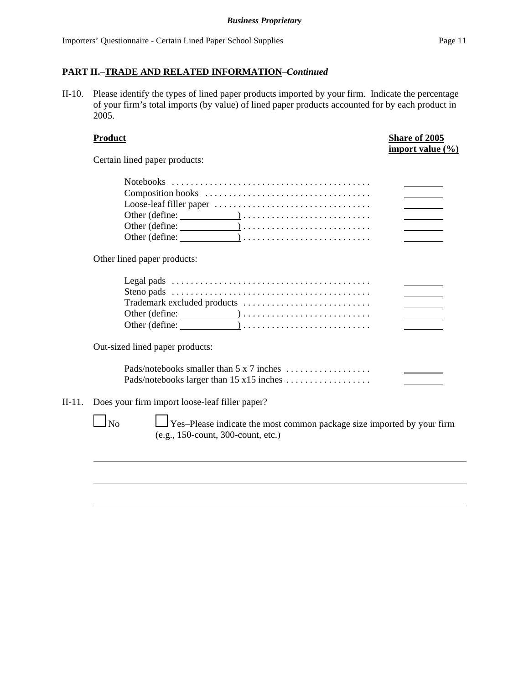# **PART II.**–**TRADE AND RELATED INFORMATION**–*Continued*

II-10. Please identify the types of lined paper products imported by your firm. Indicate the percentage of your firm's total imports (by value) of lined paper products accounted for by each product in 2005.

|        | <b>Product</b>                                                                                                                         | Share of 2005<br>import value (%) |
|--------|----------------------------------------------------------------------------------------------------------------------------------------|-----------------------------------|
|        | Certain lined paper products:                                                                                                          |                                   |
|        |                                                                                                                                        |                                   |
|        | Other lined paper products:                                                                                                            |                                   |
|        |                                                                                                                                        |                                   |
|        | Out-sized lined paper products:                                                                                                        |                                   |
|        | Pads/notebooks smaller than 5 x 7 inches                                                                                               |                                   |
| II-11. | Does your firm import loose-leaf filler paper?                                                                                         |                                   |
|        | $\perp$ Yes–Please indicate the most common package size imported by your firm<br>N <sub>0</sub><br>(e.g., 150-count, 300-count, etc.) |                                   |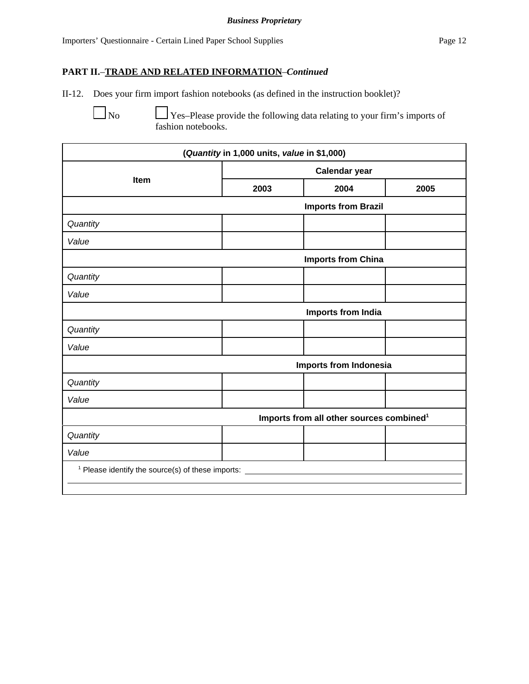# **PART II.**–**TRADE AND RELATED INFORMATION**–*Continued*

II-12. Does your firm import fashion notebooks (as defined in the instruction booklet)?

No  $\Box$  Yes–Please provide the following data relating to your firm's imports of fashion notebooks.

| (Quantity in 1,000 units, value in \$1,000)                  |                            |                                                      |      |  |
|--------------------------------------------------------------|----------------------------|------------------------------------------------------|------|--|
|                                                              | <b>Calendar year</b>       |                                                      |      |  |
| Item                                                         | 2003                       | 2004                                                 | 2005 |  |
|                                                              | <b>Imports from Brazil</b> |                                                      |      |  |
| Quantity                                                     |                            |                                                      |      |  |
| Value                                                        |                            |                                                      |      |  |
|                                                              |                            | <b>Imports from China</b>                            |      |  |
| Quantity                                                     |                            |                                                      |      |  |
| Value                                                        |                            |                                                      |      |  |
|                                                              |                            | Imports from India                                   |      |  |
| Quantity                                                     |                            |                                                      |      |  |
| Value                                                        |                            |                                                      |      |  |
|                                                              |                            | <b>Imports from Indonesia</b>                        |      |  |
| Quantity                                                     |                            |                                                      |      |  |
| Value                                                        |                            |                                                      |      |  |
|                                                              |                            | Imports from all other sources combined <sup>1</sup> |      |  |
| Quantity                                                     |                            |                                                      |      |  |
| Value                                                        |                            |                                                      |      |  |
| <sup>1</sup> Please identify the source(s) of these imports: |                            |                                                      |      |  |
|                                                              |                            |                                                      |      |  |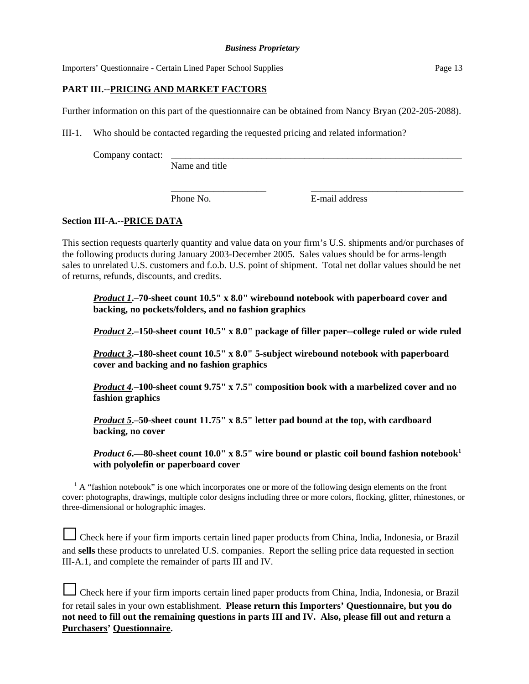# **PART III.--PRICING AND MARKET FACTORS**

Further information on this part of the questionnaire can be obtained from Nancy Bryan (202-205-2088).

III-1. Who should be contacted regarding the requested pricing and related information?

Company contact:

Name and title

Phone No. **E**-mail address

\_\_\_\_\_\_\_\_\_\_\_\_\_\_\_\_\_\_\_\_ \_\_\_\_\_\_\_\_\_\_\_\_\_\_\_\_\_\_\_\_\_\_\_\_\_\_\_\_\_\_\_\_

# **Section III-A.--PRICE DATA**

This section requests quarterly quantity and value data on your firm's U.S. shipments and/or purchases of the following products during January 2003-December 2005. Sales values should be for arms-length sales to unrelated U.S. customers and f.o.b. U.S. point of shipment. Total net dollar values should be net of returns, refunds, discounts, and credits.

*Product 1***.–70-sheet count 10.5" x 8.0" wirebound notebook with paperboard cover and backing, no pockets/folders, and no fashion graphics**

*Product 2***.–150-sheet count 10.5" x 8.0" package of filler paper--college ruled or wide ruled**

*Product 3***.–180-sheet count 10.5" x 8.0" 5-subject wirebound notebook with paperboard cover and backing and no fashion graphics**

*Product 4.***–100-sheet count 9.75" x 7.5" composition book with a marbelized cover and no fashion graphics**

*Product 5***.–50-sheet count 11.75" x 8.5" letter pad bound at the top, with cardboard backing, no cover**

*Product* 6.—80-sheet count 10.0" x 8.5" wire bound or plastic coil bound fashion notebook<sup>1</sup> **with polyolefin or paperboard cover** 

 $<sup>1</sup>$  A "fashion notebook" is one which incorporates one or more of the following design elements on the front</sup> cover: photographs, drawings, multiple color designs including three or more colors, flocking, glitter, rhinestones, or three-dimensional or holographic images.

| Check here if your firm imports certain lined paper products from China, India, Indonesia, or Brazil     |
|----------------------------------------------------------------------------------------------------------|
| and sells these products to unrelated U.S. companies. Report the selling price data requested in section |
| III-A.1, and complete the remainder of parts III and IV.                                                 |

| Check here if your firm imports certain lined paper products from China, India, Indonesia, or Brazil |
|------------------------------------------------------------------------------------------------------|
| for retail sales in your own establishment. Please return this Importers' Questionnaire, but you do  |
| not need to fill out the remaining questions in parts III and IV. Also, please fill out and return a |
| <b>Purchasers' Questionnaire.</b>                                                                    |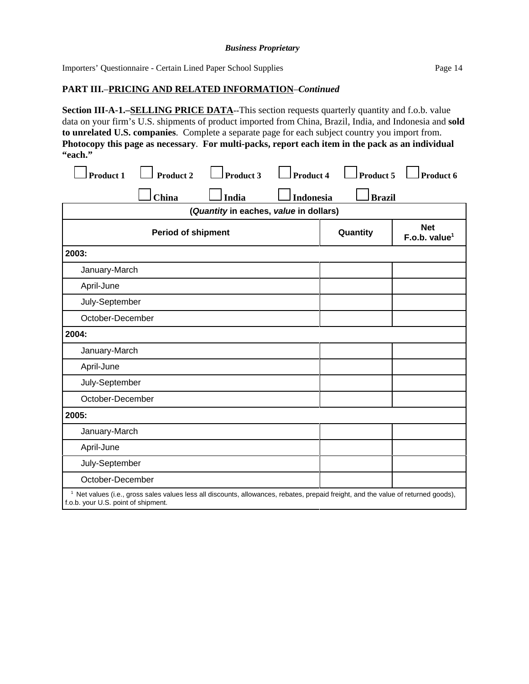# **PART III.**–**PRICING AND RELATED INFORMATION**–*Continued*

**Section III-A-1.–SELLING PRICE DATA--**This section requests quarterly quantity and f.o.b. value data on your firm's U.S. shipments of product imported from China, Brazil, India, and Indonesia and **sold to unrelated U.S. companies**. Complete a separate page for each subject country you import from. **Photocopy this page as necessary**. **For multi-packs, report each item in the pack as an individual "each."** 

| <b>Product 1</b>                    | <b>Product 2</b>                                                                                                                              | <b>Product 3</b>                       | <b>Product 4</b> | <b>Product 5</b> | Product 6                               |
|-------------------------------------|-----------------------------------------------------------------------------------------------------------------------------------------------|----------------------------------------|------------------|------------------|-----------------------------------------|
|                                     | China                                                                                                                                         | India                                  | <b>Indonesia</b> | <b>Brazil</b>    |                                         |
|                                     |                                                                                                                                               | (Quantity in eaches, value in dollars) |                  |                  |                                         |
|                                     | <b>Period of shipment</b>                                                                                                                     |                                        |                  | Quantity         | <b>Net</b><br>F.o.b. value <sup>1</sup> |
| 2003:                               |                                                                                                                                               |                                        |                  |                  |                                         |
| January-March                       |                                                                                                                                               |                                        |                  |                  |                                         |
| April-June                          |                                                                                                                                               |                                        |                  |                  |                                         |
| July-September                      |                                                                                                                                               |                                        |                  |                  |                                         |
| October-December                    |                                                                                                                                               |                                        |                  |                  |                                         |
| 2004:                               |                                                                                                                                               |                                        |                  |                  |                                         |
| January-March                       |                                                                                                                                               |                                        |                  |                  |                                         |
| April-June                          |                                                                                                                                               |                                        |                  |                  |                                         |
| July-September                      |                                                                                                                                               |                                        |                  |                  |                                         |
| October-December                    |                                                                                                                                               |                                        |                  |                  |                                         |
| 2005:                               |                                                                                                                                               |                                        |                  |                  |                                         |
| January-March                       |                                                                                                                                               |                                        |                  |                  |                                         |
| April-June                          |                                                                                                                                               |                                        |                  |                  |                                         |
| July-September                      |                                                                                                                                               |                                        |                  |                  |                                         |
| October-December                    |                                                                                                                                               |                                        |                  |                  |                                         |
| f.o.b. your U.S. point of shipment. | <sup>1</sup> Net values (i.e., gross sales values less all discounts, allowances, rebates, prepaid freight, and the value of returned goods), |                                        |                  |                  |                                         |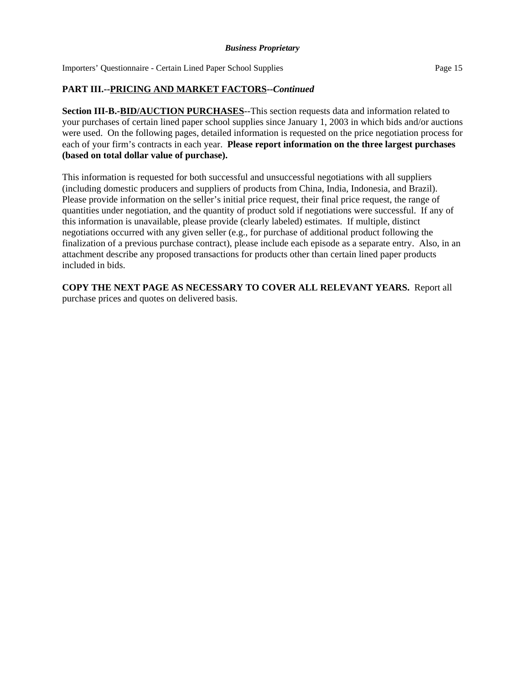# **PART III.--PRICING AND MARKET FACTORS--***Continued*

**Section III-B.-BID/AUCTION PURCHASES**--This section requests data and information related to your purchases of certain lined paper school supplies since January 1, 2003 in which bids and/or auctions were used. On the following pages, detailed information is requested on the price negotiation process for each of your firm's contracts in each year. **Please report information on the three largest purchases (based on total dollar value of purchase).**

This information is requested for both successful and unsuccessful negotiations with all suppliers (including domestic producers and suppliers of products from China, India, Indonesia, and Brazil). Please provide information on the seller's initial price request, their final price request, the range of quantities under negotiation, and the quantity of product sold if negotiations were successful. If any of this information is unavailable, please provide (clearly labeled) estimates. If multiple, distinct negotiations occurred with any given seller (e.g., for purchase of additional product following the finalization of a previous purchase contract), please include each episode as a separate entry. Also, in an attachment describe any proposed transactions for products other than certain lined paper products included in bids.

**COPY THE NEXT PAGE AS NECESSARY TO COVER ALL RELEVANT YEARS.** Report all purchase prices and quotes on delivered basis.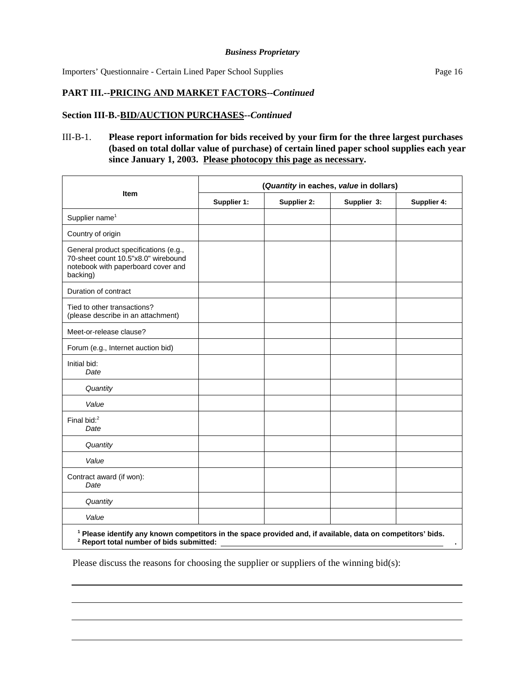# **PART III.--PRICING AND MARKET FACTORS--***Continued*

# **Section III-B.-BID/AUCTION PURCHASES--***Continued*

# III-B-1. **Please report information for bids received by your firm for the three largest purchases (based on total dollar value of purchase) of certain lined paper school supplies each year since January 1, 2003. Please photocopy this page as necessary.**

|                                                                                                                                                                               | (Quantity in eaches, value in dollars) |             |             |             |
|-------------------------------------------------------------------------------------------------------------------------------------------------------------------------------|----------------------------------------|-------------|-------------|-------------|
| <b>Item</b>                                                                                                                                                                   | Supplier 1:                            | Supplier 2: | Supplier 3: | Supplier 4: |
| Supplier name <sup>1</sup>                                                                                                                                                    |                                        |             |             |             |
| Country of origin                                                                                                                                                             |                                        |             |             |             |
| General product specifications (e.g.,<br>70-sheet count 10.5"x8.0" wirebound<br>notebook with paperboard cover and<br>backing)                                                |                                        |             |             |             |
| Duration of contract                                                                                                                                                          |                                        |             |             |             |
| Tied to other transactions?<br>(please describe in an attachment)                                                                                                             |                                        |             |             |             |
| Meet-or-release clause?                                                                                                                                                       |                                        |             |             |             |
| Forum (e.g., Internet auction bid)                                                                                                                                            |                                        |             |             |             |
| Initial bid:<br>Date                                                                                                                                                          |                                        |             |             |             |
| Quantity                                                                                                                                                                      |                                        |             |             |             |
| Value                                                                                                                                                                         |                                        |             |             |             |
| Final bid: <sup>2</sup><br>Date                                                                                                                                               |                                        |             |             |             |
| Quantity                                                                                                                                                                      |                                        |             |             |             |
| Value                                                                                                                                                                         |                                        |             |             |             |
| Contract award (if won):<br>Date                                                                                                                                              |                                        |             |             |             |
| Quantity                                                                                                                                                                      |                                        |             |             |             |
| Value                                                                                                                                                                         |                                        |             |             |             |
| <sup>1</sup> Please identify any known competitors in the space provided and, if available, data on competitors' bids.<br><sup>2</sup> Report total number of bids submitted: |                                        |             |             |             |

Please discuss the reasons for choosing the supplier or suppliers of the winning bid(s):

 $\overline{a}$ 

 $\overline{a}$ 

 $\overline{a}$ 

 $\overline{a}$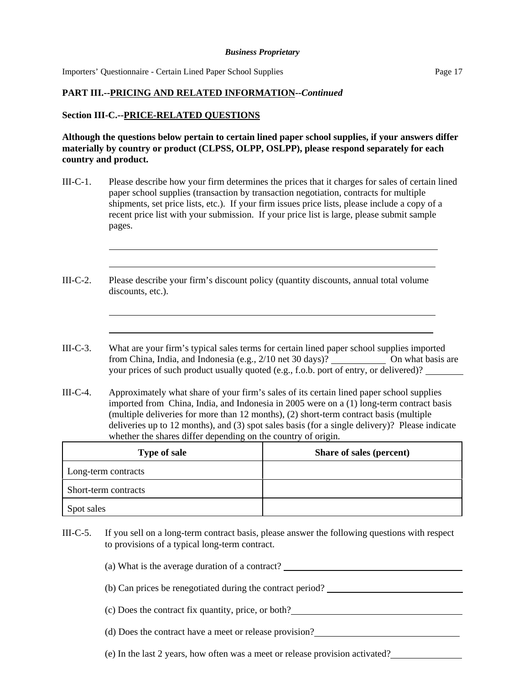# **PART III.--PRICING AND RELATED INFORMATION--***Continued*

# **Section III-C.--PRICE-RELATED QUESTIONS**

l

l

 $\overline{a}$ 

l

**Although the questions below pertain to certain lined paper school supplies, if your answers differ materially by country or product (CLPSS, OLPP, OSLPP), please respond separately for each country and product.**

- III-C-1. Please describe how your firm determines the prices that it charges for sales of certain lined paper school supplies (transaction by transaction negotiation, contracts for multiple shipments, set price lists, etc.). If your firm issues price lists, please include a copy of a recent price list with your submission. If your price list is large, please submit sample pages.
- III-C-2. Please describe your firm's discount policy (quantity discounts, annual total volume discounts, etc.).
- III-C-3. What are your firm's typical sales terms for certain lined paper school supplies imported from China, India, and Indonesia (e.g., 2/10 net 30 days)? On what basis are your prices of such product usually quoted (e.g., f.o.b. port of entry, or delivered)?
- III-C-4. Approximately what share of your firm's sales of its certain lined paper school supplies imported from China, India, and Indonesia in 2005 were on a (1) long-term contract basis (multiple deliveries for more than 12 months), (2) short-term contract basis (multiple deliveries up to 12 months), and (3) spot sales basis (for a single delivery)? Please indicate whether the shares differ depending on the country of origin.

| <b>Type of sale</b>  | Share of sales (percent) |
|----------------------|--------------------------|
| Long-term contracts  |                          |
| Short-term contracts |                          |
| Spot sales           |                          |

III-C-5. If you sell on a long-term contract basis, please answer the following questions with respect to provisions of a typical long-term contract.

(a) What is the average duration of a contract?

- (b) Can prices be renegotiated during the contract period?
- (c) Does the contract fix quantity, price, or both?
- (d) Does the contract have a meet or release provision?
- (e) In the last 2 years, how often was a meet or release provision activated?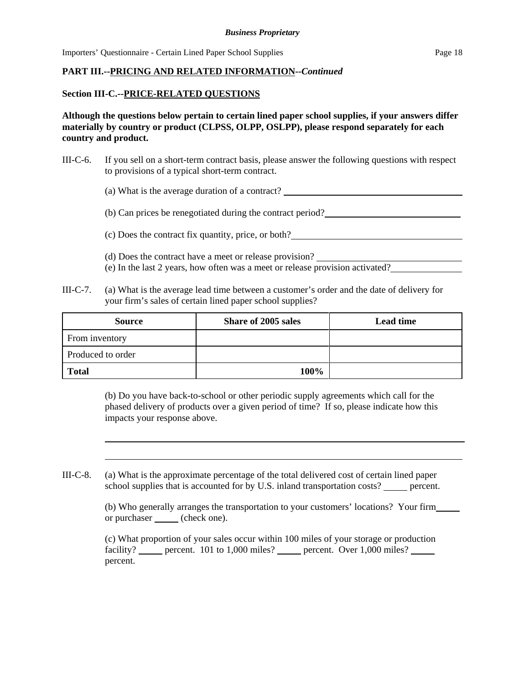# **PART III.--PRICING AND RELATED INFORMATION--***Continued*

# **Section III-C.--PRICE-RELATED QUESTIONS**

l

**Although the questions below pertain to certain lined paper school supplies, if your answers differ materially by country or product (CLPSS, OLPP, OSLPP), please respond separately for each country and product.**

III-C-6. If you sell on a short-term contract basis, please answer the following questions with respect to provisions of a typical short-term contract.

(a) What is the average duration of a contract?

(b) Can prices be renegotiated during the contract period?

(c) Does the contract fix quantity, price, or both?

- (d) Does the contract have a meet or release provision?
- (e) In the last 2 years, how often was a meet or release provision activated?
- III-C-7. (a) What is the average lead time between a customer's order and the date of delivery for your firm's sales of certain lined paper school supplies?

| <b>Source</b>     | Share of 2005 sales | <b>Lead time</b> |
|-------------------|---------------------|------------------|
| From inventory    |                     |                  |
| Produced to order |                     |                  |
| <b>Total</b>      | 100%                |                  |

(b) Do you have back-to-school or other periodic supply agreements which call for the phased delivery of products over a given period of time? If so, please indicate how this impacts your response above.

III-C-8. (a) What is the approximate percentage of the total delivered cost of certain lined paper school supplies that is accounted for by U.S. inland transportation costs? percent.

> (b) Who generally arranges the transportation to your customers' locations? Your firm or purchaser (check one).

(c) What proportion of your sales occur within 100 miles of your storage or production facility? percent. 101 to 1,000 miles? percent. Over 1,000 miles? percent.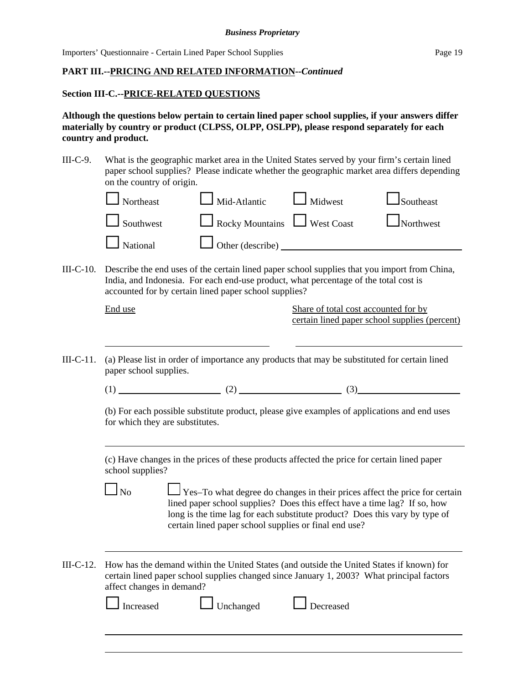# **PART III.--PRICING AND RELATED INFORMATION--***Continued*

## **Section III-C.--PRICE-RELATED QUESTIONS**

**Although the questions below pertain to certain lined paper school supplies, if your answers differ materially by country or product (CLPSS, OLPP, OSLPP), please respond separately for each country and product.**

III-C-9. What is the geographic market area in the United States served by your firm's certain lined paper school supplies? Please indicate whether the geographic market area differs depending on the country of origin.

| on the country of origin. |                                                |  |
|---------------------------|------------------------------------------------|--|
|                           | Northeast Mid-Atlantic Midwest Southeast       |  |
|                           | Southwest Rocky Mountains West Coast Northwest |  |
|                           | National Dother (describe)                     |  |
|                           |                                                |  |

III-C-10. Describe the end uses of the certain lined paper school supplies that you import from China, India, and Indonesia. For each end-use product, what percentage of the total cost is accounted for by certain lined paper school supplies?

| 1.<br>L |  |
|---------|--|
|         |  |

l

l

l

l

Share of total cost accounted for by certain lined paper school supplies (percent)

III-C-11. (a) Please list in order of importance any products that may be substituted for certain lined paper school supplies.

(1)  $(2)$   $(3)$ 

(b) For each possible substitute product, please give examples of applications and end uses for which they are substitutes.

(c) Have changes in the prices of these products affected the price for certain lined paper school supplies?

 $\Box$  No  $\Box$  Yes–To what degree do changes in their prices affect the price for certain lined paper school supplies? Does this effect have a time lag? If so, how long is the time lag for each substitute product? Does this vary by type of certain lined paper school supplies or final end use?

III-C-12. How has the demand within the United States (and outside the United States if known) for certain lined paper school supplies changed since January 1, 2003? What principal factors affect changes in demand?

| Increased<br>$\mathbf{I}$ | $\Box$ Unchanged | <b>L</b> Decreased |  |
|---------------------------|------------------|--------------------|--|
|                           |                  |                    |  |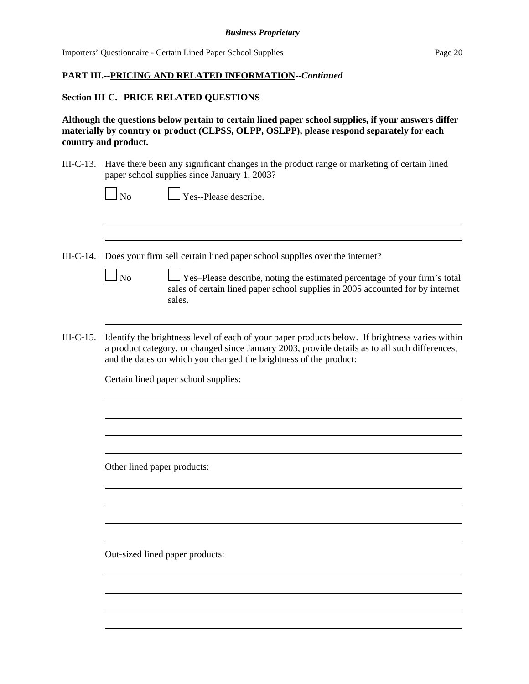# **PART III.--PRICING AND RELATED INFORMATION--***Continued*

## **Section III-C.--PRICE-RELATED QUESTIONS**

l

l

l

l

**Although the questions below pertain to certain lined paper school supplies, if your answers differ materially by country or product (CLPSS, OLPP, OSLPP), please respond separately for each country and product.**

III-C-13. Have there been any significant changes in the product range or marketing of certain lined paper school supplies since January 1, 2003?

| $\Box_{\rm No}$ | $\Box$ Yes--Please describe. |
|-----------------|------------------------------|
|-----------------|------------------------------|

- III-C-14. Does your firm sell certain lined paper school supplies over the internet?
	- $\Box$  No  $\Box$  Yes–Please describe, noting the estimated percentage of your firm's total sales of certain lined paper school supplies in 2005 accounted for by internet sales.
- III-C-15. Identify the brightness level of each of your paper products below. If brightness varies within a product category, or changed since January 2003, provide details as to all such differences, and the dates on which you changed the brightness of the product:

Certain lined paper school supplies:

Other lined paper products:

Out-sized lined paper products:

 $\overline{a}$ 

 $\overline{a}$ 

 $\overline{a}$ 

 $\overline{a}$ 

 $\overline{a}$ 

 $\overline{a}$ 

 $\overline{a}$ 

 $\overline{a}$ 

 $\overline{a}$ 

 $\overline{a}$ 

 $\overline{a}$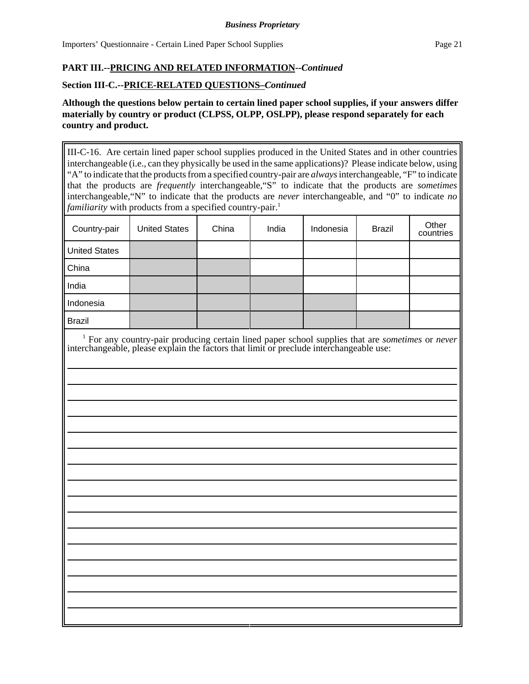# **PART III.--PRICING AND RELATED INFORMATION--***Continued*

# **Section III-C.--PRICE-RELATED QUESTIONS–***Continued*

# **Although the questions below pertain to certain lined paper school supplies, if your answers differ materially by country or product (CLPSS, OLPP, OSLPP), please respond separately for each country and product.**

III-C-16. Are certain lined paper school supplies produced in the United States and in other countries interchangeable (i.e., can they physically be used in the same applications)? Please indicate below, using "A" to indicate that the products from a specified country-pair are *always* interchangeable, "F" to indicate that the products are *frequently* interchangeable,"S" to indicate that the products are *sometimes* interchangeable,"N" to indicate that the products are *never* interchangeable, and "0" to indicate *no familiarity* with products from a specified country-pair.<sup>1</sup>

| <b>United States</b> | China | India | Indonesia | <b>Brazil</b> | Other<br>countries                                                                                                                                                                                                 |
|----------------------|-------|-------|-----------|---------------|--------------------------------------------------------------------------------------------------------------------------------------------------------------------------------------------------------------------|
|                      |       |       |           |               |                                                                                                                                                                                                                    |
|                      |       |       |           |               |                                                                                                                                                                                                                    |
|                      |       |       |           |               |                                                                                                                                                                                                                    |
|                      |       |       |           |               |                                                                                                                                                                                                                    |
|                      |       |       |           |               |                                                                                                                                                                                                                    |
|                      |       |       |           |               |                                                                                                                                                                                                                    |
|                      |       |       |           |               |                                                                                                                                                                                                                    |
|                      |       |       |           |               | $\frac{1}{1}$ For any country-pair producing certain lined paper school supplies that are <i>sometimes</i> or <i>never</i> interchangeable, please explain the factors that limit or preclude interchangeable use: |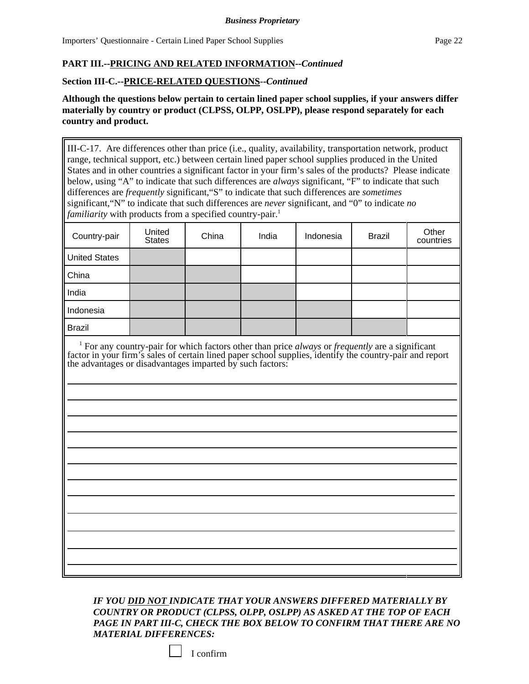l

# **PART III.--PRICING AND RELATED INFORMATION--***Continued*

## **Section III-C.--PRICE-RELATED QUESTIONS**-**-***Continued*

**Although the questions below pertain to certain lined paper school supplies, if your answers differ materially by country or product (CLPSS, OLPP, OSLPP), please respond separately for each country and product.**

III-C-17. Are differences other than price (i.e., quality, availability, transportation network, product range, technical support, etc.) between certain lined paper school supplies produced in the United States and in other countries a significant factor in your firm's sales of the products? Please indicate below, using "A" to indicate that such differences are *always* significant, "F" to indicate that such differences are *frequently* significant,"S" to indicate that such differences are *sometimes* significant,"N" to indicate that such differences are *never* significant, and "0" to indicate *no familiarity* with products from a specified country-pair.<sup>1</sup>

| Country-pair         | United<br><b>States</b> | China | India | Indonesia | <b>Brazil</b> | Other<br>countries |
|----------------------|-------------------------|-------|-------|-----------|---------------|--------------------|
| <b>United States</b> |                         |       |       |           |               |                    |
| China                |                         |       |       |           |               |                    |
| India                |                         |       |       |           |               |                    |
| Indonesia            |                         |       |       |           |               |                    |
| <b>Brazil</b>        |                         |       |       |           |               |                    |

 1 For any country-pair for which factors other than price *always* or *frequently* are a significant factor in your firm's sales of certain lined paper school supplies, identify the country-pair and report the advantages or disadvantages imparted by such factors:

> 

 

*IF YOU DID NOT INDICATE THAT YOUR ANSWERS DIFFERED MATERIALLY BY COUNTRY OR PRODUCT (CLPSS, OLPP, OSLPP) AS ASKED AT THE TOP OF EACH PAGE IN PART III-C, CHECK THE BOX BELOW TO CONFIRM THAT THERE ARE NO MATERIAL DIFFERENCES:* 

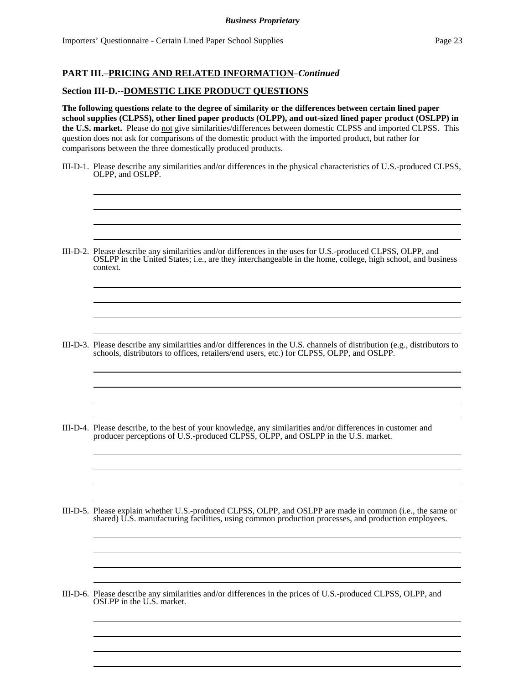$\overline{a}$ l

l l

l l

 $\overline{a}$ l

 $\overline{a}$ l

ı l  

 

 

 

 

 

#### **PART III.**–**PRICING AND RELATED INFORMATION**–*Continued*

## **Section III-D.--DOMESTIC LIKE PRODUCT QUESTIONS**

**The following questions relate to the degree of similarity or the differences between certain lined paper school supplies (CLPSS), other lined paper products (OLPP), and out-sized lined paper product (OSLPP) in the U.S. market.** Please do not give similarities/differences between domestic CLPSS and imported CLPSS. This question does not ask for comparisons of the domestic product with the imported product, but rather for comparisons between the three domestically produced products.

- III-D-1. Please describe any similarities and/or differences in the physical characteristics of U.S.-produced CLPSS, OLPP, and OSLPP.
- III-D-2. Please describe any similarities and/or differences in the uses for U.S.-produced CLPSS, OLPP, and OSLPP in the United States; i.e., are they interchangeable in the home, college, high school, and business context.

- III-D-3. Please describe any similarities and/or differences in the U.S. channels of distribution (e.g., distributors to schools, distributors to offices, retailers/end users, etc.) for CLPSS, OLPP, and OSLPP.
- III-D-4. Please describe, to the best of your knowledge, any similarities and/or differences in customer and producer perceptions of U.S.-produced CLPSS, OLPP, and OSLPP in the U.S. market.
- III-D-5. Please explain whether U.S.-produced CLPSS, OLPP, and OSLPP are made in common (i.e., the same or shared) U.S. manufacturing facilities, using common production processes, and production employees.
- III-D-6. Please describe any similarities and/or differences in the prices of U.S.-produced CLPSS, OLPP, and OSLPP in the U.S. market.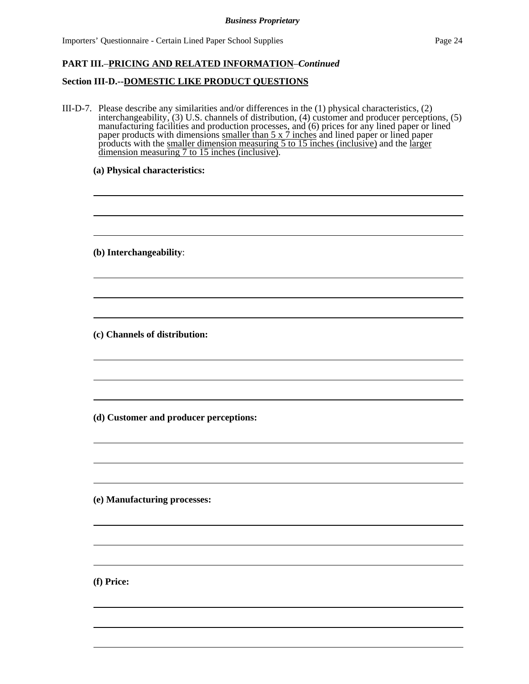# **PART III.**–**PRICING AND RELATED INFORMATION**–*Continued*

## **Section III-D.--DOMESTIC LIKE PRODUCT QUESTIONS**

III-D-7. Please describe any similarities and/or differences in the (1) physical characteristics, (2) interchangeability, (3) U.S. channels of distribution, (4) customer and producer perceptions, (5) manufacturing facilities and production processes, and (6) prices for any lined paper or lined paper products with dimensions smaller than 5 x 7 inches and lined paper or lined paper products with the smaller dimension measuring 5 to 15 inches (inclusive) and the larger dimension measuring 7 to 15 inches (inclusive).

**(a) Physical characteristics:**

**(b) Interchangeability**:

l

l

l

l

l

ı

**(c) Channels of distribution:**

**(d) Customer and producer perceptions:**

**(e) Manufacturing processes:**

**(f) Price:**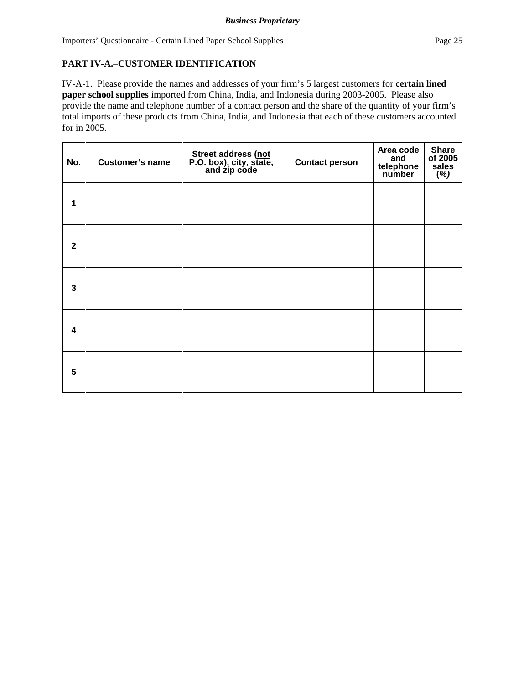# **PART IV-A.**–**CUSTOMER IDENTIFICATION**

IV-A-1. Please provide the names and addresses of your firm's 5 largest customers for **certain lined paper school supplies** imported from China, India, and Indonesia during 2003-2005. Please also provide the name and telephone number of a contact person and the share of the quantity of your firm's total imports of these products from China, India, and Indonesia that each of these customers accounted for in 2005.

| No.                     | <b>Customer's name</b> | Street address (not<br>P.O. box), city, state,<br>and zip code | <b>Contact person</b> | Area code<br>and<br>telephone<br>number | <b>Share</b><br>of 2005<br>sales<br>(%) |
|-------------------------|------------------------|----------------------------------------------------------------|-----------------------|-----------------------------------------|-----------------------------------------|
| 1                       |                        |                                                                |                       |                                         |                                         |
| $\mathbf{2}$            |                        |                                                                |                       |                                         |                                         |
| $\mathbf{3}$            |                        |                                                                |                       |                                         |                                         |
| $\overline{\mathbf{4}}$ |                        |                                                                |                       |                                         |                                         |
| 5                       |                        |                                                                |                       |                                         |                                         |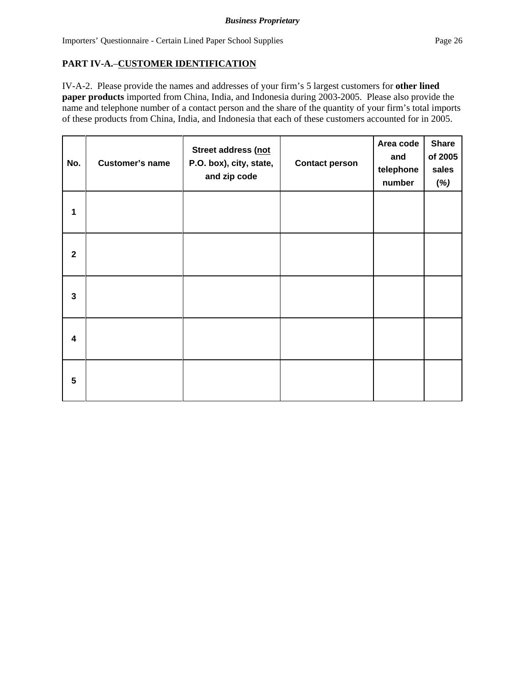# **PART IV-A.**–**CUSTOMER IDENTIFICATION**

IV-A-2. Please provide the names and addresses of your firm's 5 largest customers for **other lined paper products** imported from China, India, and Indonesia during 2003-2005. Please also provide the name and telephone number of a contact person and the share of the quantity of your firm's total imports of these products from China, India, and Indonesia that each of these customers accounted for in 2005.

| No.             | <b>Customer's name</b> | Street address (not<br>P.O. box), city, state,<br>and zip code | <b>Contact person</b> | Area code<br>and<br>telephone<br>number | <b>Share</b><br>of 2005<br>sales<br>(%) |
|-----------------|------------------------|----------------------------------------------------------------|-----------------------|-----------------------------------------|-----------------------------------------|
| 1               |                        |                                                                |                       |                                         |                                         |
| $\mathbf 2$     |                        |                                                                |                       |                                         |                                         |
| $\mathbf{3}$    |                        |                                                                |                       |                                         |                                         |
| 4               |                        |                                                                |                       |                                         |                                         |
| $5\phantom{.0}$ |                        |                                                                |                       |                                         |                                         |